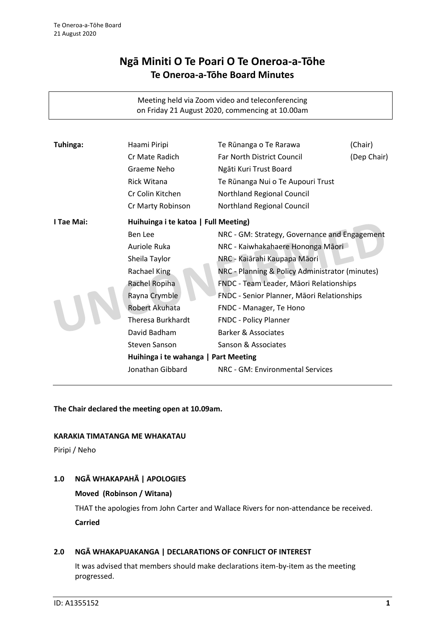# **Ngā Miniti O Te Poari O Te Oneroa-a-Tōhe Te Oneroa-a-Tōhe Board Minutes**

Meeting held via Zoom video and teleconferencing on Friday 21 August 2020, commencing at 10.00am

| Tuhinga:   | Haami Piripi                         | Te Rūnanga o Te Rarawa                          | (Chair)     |
|------------|--------------------------------------|-------------------------------------------------|-------------|
|            | Cr Mate Radich                       | <b>Far North District Council</b>               | (Dep Chair) |
|            | Graeme Neho                          | Ngāti Kuri Trust Board                          |             |
|            | <b>Rick Witana</b>                   | Te Rūnanga Nui o Te Aupouri Trust               |             |
|            | Cr Colin Kitchen                     | Northland Regional Council                      |             |
|            | Cr Marty Robinson                    | Northland Regional Council                      |             |
| I Tae Mai: | Huihuinga i te katoa   Full Meeting) |                                                 |             |
|            | Ben Lee                              | NRC - GM: Strategy, Governance and Engagement   |             |
|            | Auriole Ruka                         | NRC - Kaiwhakahaere Hononga Māori               |             |
|            | Sheila Taylor                        | NRC - Kaiārahi Kaupapa Māori                    |             |
|            | Rachael King                         | NRC - Planning & Policy Administrator (minutes) |             |
|            | Rachel Ropiha                        | FNDC - Team Leader, Māori Relationships         |             |
|            | Rayna Crymble                        | FNDC - Senior Planner, Māori Relationships      |             |
|            | Robert Akuhata                       | FNDC - Manager, Te Hono                         |             |
|            | <b>Theresa Burkhardt</b>             | <b>FNDC - Policy Planner</b>                    |             |
|            | David Badham                         | <b>Barker &amp; Associates</b>                  |             |
|            | <b>Steven Sanson</b>                 | Sanson & Associates                             |             |
|            | Huihinga i te wahanga   Part Meeting |                                                 |             |
|            | Jonathan Gibbard                     | NRC - GM: Environmental Services                |             |

**The Chair declared the meeting open at 10.09am.**

#### **KARAKIA TIMATANGA ME WHAKATAU**

Piripi / Neho

# **1.0 NGĀ WHAKAPAHĀ | APOLOGIES**

#### **Moved (Robinson / Witana)**

THAT the apologies from John Carter and Wallace Rivers for non-attendance be received. **Carried**

#### **2.0 NGĀ WHAKAPUAKANGA | DECLARATIONS OF CONFLICT OF INTEREST**

It was advised that members should make declarations item-by-item as the meeting progressed.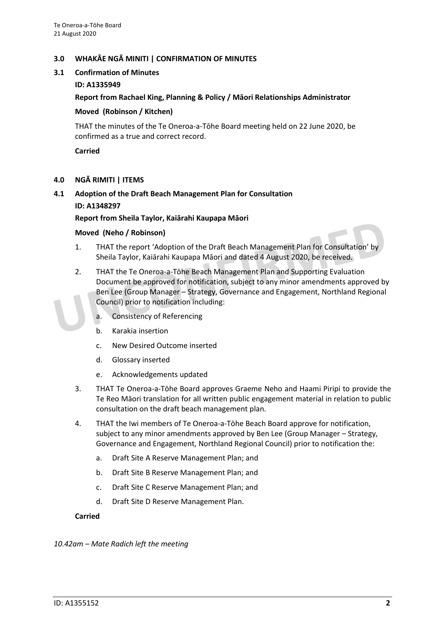## **3.0 WHAKĀE NGĀ MINITI | CONFIRMATION OF MINUTES**

## **3.1 Confirmation of Minutes**

## **ID: A1335949**

## **Report from Rachael King, Planning & Policy / Māori Relationships Administrator**

#### **Moved (Robinson / Kitchen)**

THAT the minutes of the Te Oneroa-a-Tōhe Board meeting held on 22 June 2020, be confirmed as a true and correct record.

**Carried**

## **4.0 NGĀ RIMITI | ITEMS**

# **4.1 Adoption of the Draft Beach Management Plan for Consultation ID: A1348297**

**Report from Sheila Taylor, Kaiārahi Kaupapa Māori**

#### **Moved (Neho / Robinson)**

- 1. THAT the report 'Adoption of the Draft Beach Management Plan for Consultation' by Sheila Taylor, Kaiārahi Kaupapa Māori and dated 4 August 2020, be received.
- 2. THAT the Te Oneroa-a-Tōhe Beach Management Plan and Supporting Evaluation Document be approved for notification, subject to any minor amendments approved by Ben Lee (Group Manager – Strategy, Governance and Engagement, Northland Regional Council) prior to notification including:
	- a. Consistency of Referencing
	- b. Karakia insertion
	- c. New Desired Outcome inserted
	- d. Glossary inserted
	- e. Acknowledgements updated
- 3. THAT Te Oneroa-a-Tōhe Board approves Graeme Neho and Haami Piripi to provide the Te Reo Māori translation for all written public engagement material in relation to public consultation on the draft beach management plan.
- 4. THAT the Iwi members of Te Oneroa-a-Tōhe Beach Board approve for notification, subject to any minor amendments approved by Ben Lee (Group Manager – Strategy, Governance and Engagement, Northland Regional Council) prior to notification the:
	- a. Draft Site A Reserve Management Plan; and
	- b. Draft Site B Reserve Management Plan; and
	- c. Draft Site C Reserve Management Plan; and
	- d. Draft Site D Reserve Management Plan.

#### **Carried**

*10.42am – Mate Radich left the meeting*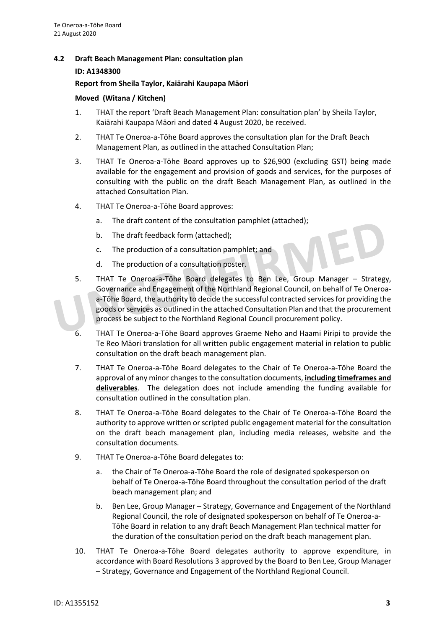## **4.2 Draft Beach Management Plan: consultation plan**

#### **ID: A1348300**

#### **Report from Sheila Taylor, Kaiārahi Kaupapa Māori**

#### **Moved (Witana / Kitchen)**

- 1. THAT the report 'Draft Beach Management Plan: consultation plan' by Sheila Taylor, Kaiārahi Kaupapa Māori and dated 4 August 2020, be received.
- 2. THAT Te Oneroa-a-Tōhe Board approves the consultation plan for the Draft Beach Management Plan, as outlined in the attached Consultation Plan;
- 3. THAT Te Oneroa-a-Tōhe Board approves up to \$26,900 (excluding GST) being made available for the engagement and provision of goods and services, for the purposes of consulting with the public on the draft Beach Management Plan, as outlined in the attached Consultation Plan.
- 4. THAT Te Oneroa-a-Tōhe Board approves:
	- a. The draft content of the consultation pamphlet (attached);
	- b. The draft feedback form (attached);
	- c. The production of a consultation pamphlet; and
	- d. The production of a consultation poster.
- 5. THAT Te Oneroa-a-Tōhe Board delegates to Ben Lee, Group Manager Strategy, Governance and Engagement of the Northland Regional Council, on behalf of Te Oneroaa-Tōhe Board, the authority to decide the successful contracted services for providing the goods or services as outlined in the attached Consultation Plan and that the procurement process be subject to the Northland Regional Council procurement policy.
- 6. THAT Te Oneroa-a-Tōhe Board approves Graeme Neho and Haami Piripi to provide the Te Reo Māori translation for all written public engagement material in relation to public consultation on the draft beach management plan.
- 7. THAT Te Oneroa-a-Tōhe Board delegates to the Chair of Te Oneroa-a-Tōhe Board the approval of any minor changes to the consultation documents, **including timeframes and deliverables**. The delegation does not include amending the funding available for consultation outlined in the consultation plan.
- 8. THAT Te Oneroa-a-Tōhe Board delegates to the Chair of Te Oneroa-a-Tōhe Board the authority to approve written or scripted public engagement material for the consultation on the draft beach management plan, including media releases, website and the consultation documents.
- 9. THAT Te Oneroa-a-Tōhe Board delegates to:
	- a. the Chair of Te Oneroa-a-Tōhe Board the role of designated spokesperson on behalf of Te Oneroa-a-Tōhe Board throughout the consultation period of the draft beach management plan; and
	- b. Ben Lee, Group Manager Strategy, Governance and Engagement of the Northland Regional Council, the role of designated spokesperson on behalf of Te Oneroa-a-Tōhe Board in relation to any draft Beach Management Plan technical matter for the duration of the consultation period on the draft beach management plan.
- 10. THAT Te Oneroa-a-Tōhe Board delegates authority to approve expenditure, in accordance with Board Resolutions 3 approved by the Board to Ben Lee, Group Manager – Strategy, Governance and Engagement of the Northland Regional Council.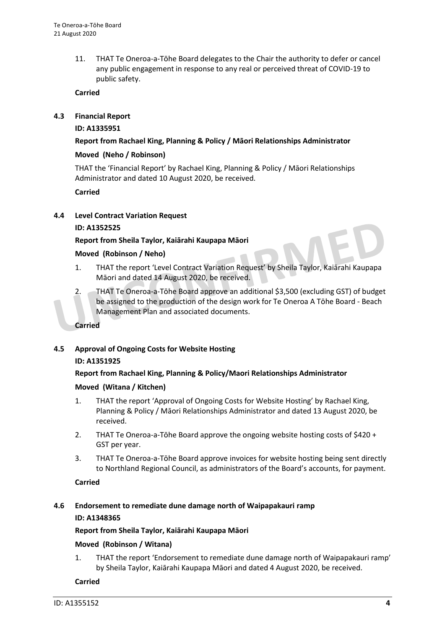11. THAT Te Oneroa-a-Tōhe Board delegates to the Chair the authority to defer or cancel any public engagement in response to any real or perceived threat of COVID-19 to public safety.

## **Carried**

## **4.3 Financial Report**

## **ID: A1335951**

## **Report from Rachael King, Planning & Policy / Māori Relationships Administrator**

## **Moved (Neho / Robinson)**

THAT the 'Financial Report' by Rachael King, Planning & Policy / Māori Relationships Administrator and dated 10 August 2020, be received.

## **Carried**

## **4.4 Level Contract Variation Request**

## **ID: A1352525**

## **Report from Sheila Taylor, Kaiārahi Kaupapa Māori**

## **Moved (Robinson / Neho)**

- 1. THAT the report 'Level Contract Variation Request' by Sheila Taylor, Kaiārahi Kaupapa Māori and dated 14 August 2020, be received.
- 2. THAT Te Oneroa-a-Tōhe Board approve an additional \$3,500 (excluding GST) of budget be assigned to the production of the design work for Te Oneroa A Tōhe Board - Beach Management Plan and associated documents.

#### **Carried**

# **4.5 Approval of Ongoing Costs for Website Hosting ID: A1351925**

# **Report from Rachael King, Planning & Policy/Maori Relationships Administrator**

# **Moved (Witana / Kitchen)**

- 1. THAT the report 'Approval of Ongoing Costs for Website Hosting' by Rachael King, Planning & Policy / Māori Relationships Administrator and dated 13 August 2020, be received.
- 2. THAT Te Oneroa-a-Tōhe Board approve the ongoing website hosting costs of \$420 + GST per year.
- 3. THAT Te Oneroa-a-Tōhe Board approve invoices for website hosting being sent directly to Northland Regional Council, as administrators of the Board's accounts, for payment.

#### **Carried**

# **4.6 Endorsement to remediate dune damage north of Waipapakauri ramp ID: A1348365**

#### **Report from Sheila Taylor, Kaiārahi Kaupapa Māori**

# **Moved (Robinson / Witana)**

1. THAT the report 'Endorsement to remediate dune damage north of Waipapakauri ramp' by Sheila Taylor, Kaiārahi Kaupapa Māori and dated 4 August 2020, be received.

#### **Carried**